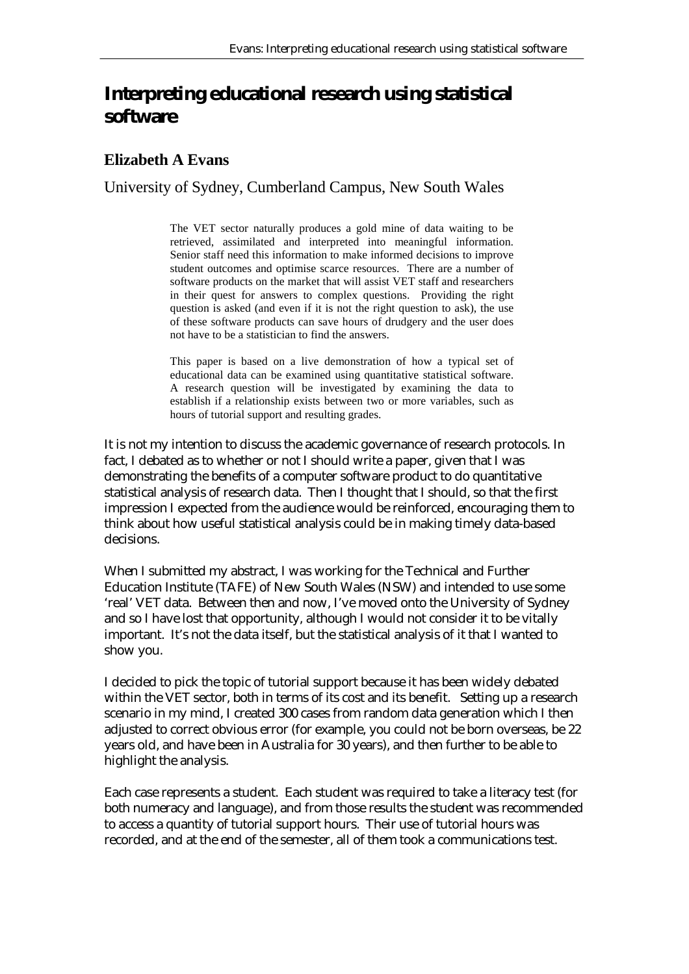# **Interpreting educational research using statistical software**

### **Elizabeth A Evans**

University of Sydney, Cumberland Campus, New South Wales

The VET sector naturally produces a gold mine of data waiting to be retrieved, assimilated and interpreted into meaningful information. Senior staff need this information to make informed decisions to improve student outcomes and optimise scarce resources. There are a number of software products on the market that will assist VET staff and researchers in their quest for answers to complex questions. Providing the right question is asked (and even if it is not the right question to ask), the use of these software products can save hours of drudgery and the user does not have to be a statistician to find the answers.

This paper is based on a live demonstration of how a typical set of educational data can be examined using quantitative statistical software. A research question will be investigated by examining the data to establish if a relationship exists between two or more variables, such as hours of tutorial support and resulting grades.

It is not my intention to discuss the academic governance of research protocols. In fact, I debated as to whether or not I should write a paper, given that I was demonstrating the benefits of a computer software product to do quantitative statistical analysis of research data. Then I thought that I should, so that the first impression I expected from the audience would be reinforced, encouraging them to think about how useful statistical analysis could be in making timely data-based decisions.

When I submitted my abstract, I was working for the Technical and Further Education Institute (TAFE) of New South Wales (NSW) and intended to use some 'real' VET data. Between then and now, I've moved onto the University of Sydney and so I have lost that opportunity, although I would not consider it to be vitally important. It's not the data itself, but the statistical analysis of it that I wanted to show you.

I decided to pick the topic of tutorial support because it has been widely debated within the VET sector, both in terms of its cost and its benefit. Setting up a research scenario in my mind, I created 300 cases from random data generation which I then adjusted to correct obvious error (for example, you could not be born overseas, be 22 years old, and have been in Australia for 30 years), and then further to be able to highlight the analysis.

Each case represents a student. Each student was required to take a literacy test (for both numeracy and language), and from those results the student was recommended to access a quantity of tutorial support hours. Their use of tutorial hours was recorded, and at the end of the semester, all of them took a communications test.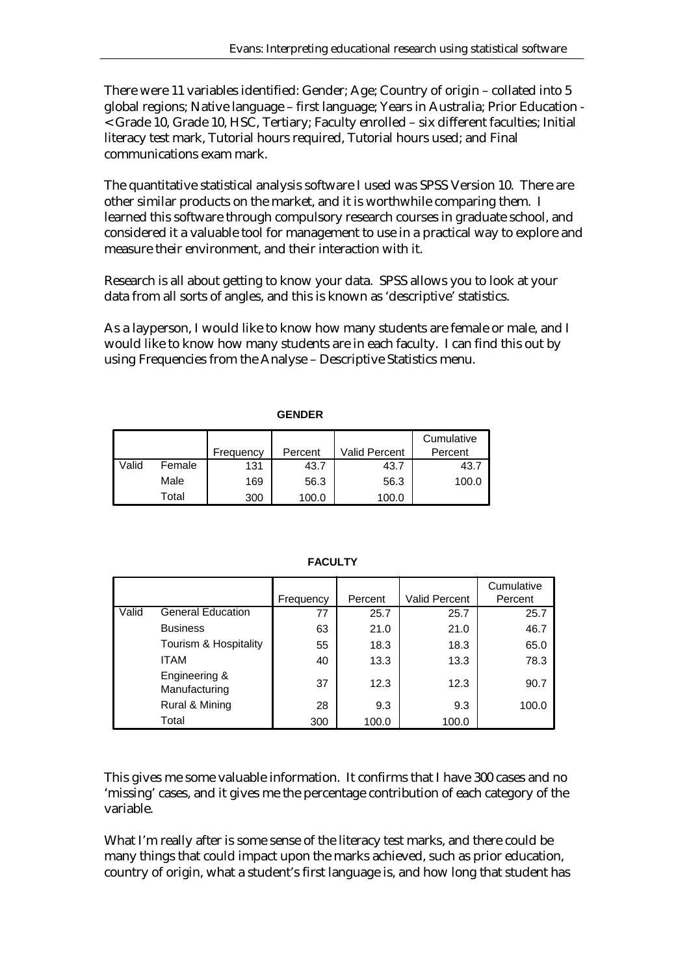There were 11 variables identified: Gender; Age; Country of origin – collated into 5 global regions; Native language – first language; Years in Australia; Prior Education - < Grade 10, Grade 10, HSC, Tertiary; Faculty enrolled – six different faculties; Initial literacy test mark, Tutorial hours required, Tutorial hours used; and Final communications exam mark.

The quantitative statistical analysis software I used was SPSS Version 10. There are other similar products on the market, and it is worthwhile comparing them. I learned this software through compulsory research courses in graduate school, and considered it a valuable tool for management to use in a practical way to explore and measure their environment, and their interaction with it.

Research is all about getting to know your data. SPSS allows you to look at your data from all sorts of angles, and this is known as 'descriptive' statistics.

As a layperson, I would like to know how many students are female or male, and I would like to know how many students are in each faculty. I can find this out by using Frequencies from the Analyse – Descriptive Statistics menu.

|       |        | Frequency | Percent | Valid Percent | Cumulative<br>Percent |
|-------|--------|-----------|---------|---------------|-----------------------|
| Valid | Female | 131       | 43.7    | 43.7          | 43.7                  |
|       | Male   | 169       | 56.3    | 56.3          | 100.0                 |
|       | Total  | 300       | 100.0   | 100.0         |                       |

|       |                                |           |         |                      | Cumulative |
|-------|--------------------------------|-----------|---------|----------------------|------------|
|       |                                | Frequency | Percent | <b>Valid Percent</b> | Percent    |
| Valid | <b>General Education</b>       | 77        | 25.7    | 25.7                 | 25.7       |
|       | <b>Business</b>                | 63        | 21.0    | 21.0                 | 46.7       |
|       | Tourism & Hospitality          | 55        | 18.3    | 18.3                 | 65.0       |
|       | <b>ITAM</b>                    | 40        | 13.3    | 13.3                 | 78.3       |
|       | Engineering &<br>Manufacturing | 37        | 12.3    | 12.3                 | 90.7       |
|       | Rural & Mining                 | 28        | 9.3     | 9.3                  | 100.0      |
|       | Total                          | 300       | 100.0   | 100.0                |            |

#### **FACULTY**

This gives me some valuable information. It confirms that I have 300 cases and no 'missing' cases, and it gives me the percentage contribution of each category of the variable.

What I'm really after is some sense of the literacy test marks, and there could be many things that could impact upon the marks achieved, such as prior education, country of origin, what a student's first language is, and how long that student has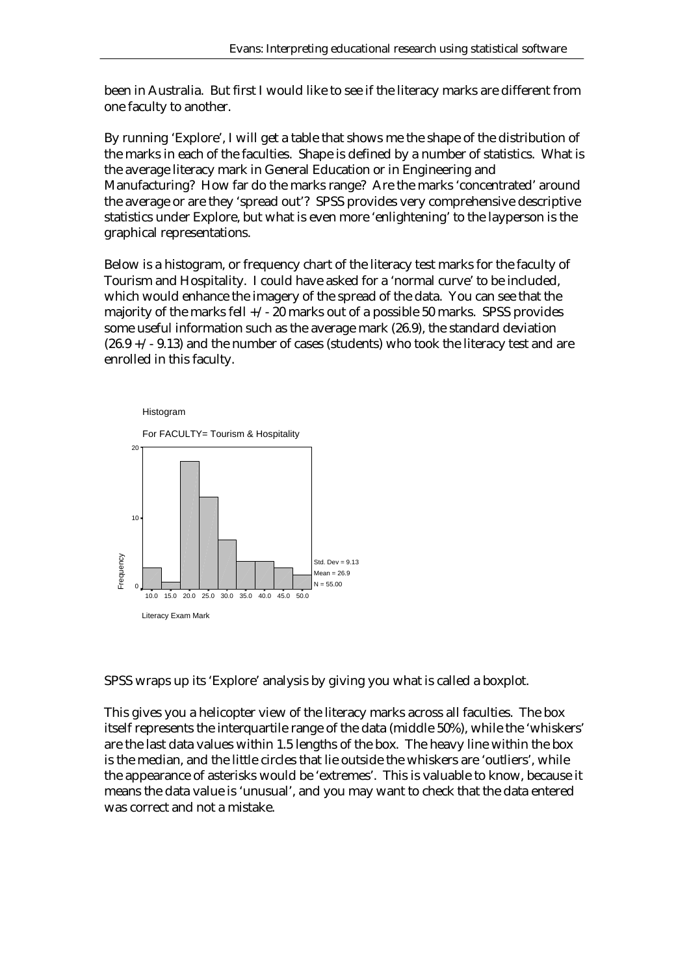been in Australia. But first I would like to see if the literacy marks are different from one faculty to another.

By running 'Explore', I will get a table that shows me the shape of the distribution of the marks in each of the faculties. Shape is defined by a number of statistics. What is the average literacy mark in General Education or in Engineering and Manufacturing? How far do the marks range? Are the marks 'concentrated' around the average or are they 'spread out'? SPSS provides very comprehensive descriptive statistics under Explore, but what is even more 'enlightening' to the layperson is the graphical representations.

Below is a histogram, or frequency chart of the literacy test marks for the faculty of Tourism and Hospitality. I could have asked for a 'normal curve' to be included, which would enhance the imagery of the spread of the data. You can see that the majority of the marks fell +/- 20 marks out of a possible 50 marks. SPSS provides some useful information such as the average mark (26.9), the standard deviation  $(26.9 + \ell - 9.13)$  and the number of cases (students) who took the literacy test and are enrolled in this faculty.



SPSS wraps up its 'Explore' analysis by giving you what is called a boxplot.

This gives you a helicopter view of the literacy marks across all faculties. The box itself represents the interquartile range of the data (middle 50%), while the 'whiskers' are the last data values within 1.5 lengths of the box. The heavy line within the box is the median, and the little circles that lie outside the whiskers are 'outliers', while the appearance of asterisks would be 'extremes'. This is valuable to know, because it means the data value is 'unusual', and you may want to check that the data entered was correct and not a mistake.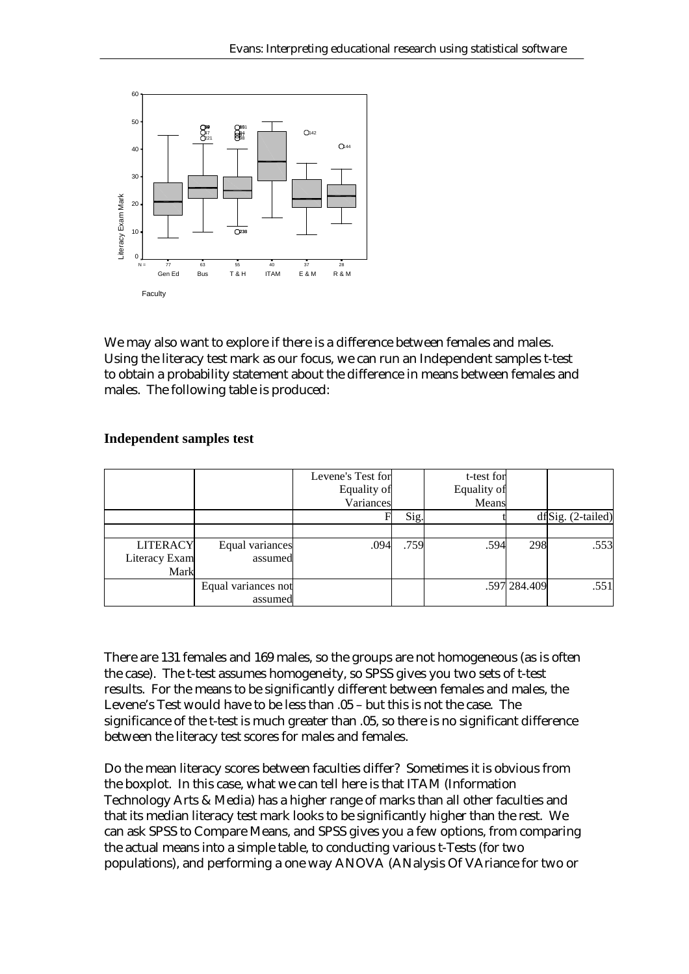

We may also want to explore if there is a difference between females and males. Using the literacy test mark as our focus, we can run an Independent samples t-test to obtain a probability statement about the difference in means between females and males. The following table is produced:

#### **Independent samples test**

|                 |                     | Levene's Test for |      | t-test for  |              |                            |
|-----------------|---------------------|-------------------|------|-------------|--------------|----------------------------|
|                 |                     | Equality of       |      | Equality of |              |                            |
|                 |                     | Variances         |      | Means       |              |                            |
|                 |                     |                   | Sig. |             |              | $df\text{Sig.}$ (2-tailed) |
|                 |                     |                   |      |             |              |                            |
| <b>LITERACY</b> | Equal variances     | .094              | .759 | .594        | 298          | .553                       |
| Literacy Exam   | assumed             |                   |      |             |              |                            |
| Mark            |                     |                   |      |             |              |                            |
|                 | Equal variances not |                   |      |             | .597 284.409 | .551                       |
|                 | assumed             |                   |      |             |              |                            |

There are 131 females and 169 males, so the groups are not homogeneous (as is often the case). The t-test assumes homogeneity, so SPSS gives you two sets of t-test results. For the means to be significantly different between females and males, the Levene's Test would have to be less than .05 – but this is not the case. The significance of the t-test is much greater than .05, so there is no significant difference between the literacy test scores for males and females.

Do the mean literacy scores between faculties differ? Sometimes it is obvious from the boxplot. In this case, what we can tell here is that ITAM (Information Technology Arts & Media) has a higher range of marks than all other faculties and that its median literacy test mark looks to be significantly higher than the rest. We can ask SPSS to Compare Means, and SPSS gives you a few options, from comparing the actual means into a simple table, to conducting various t-Tests (for two populations), and performing a one way ANOVA (ANalysis Of VAriance for two or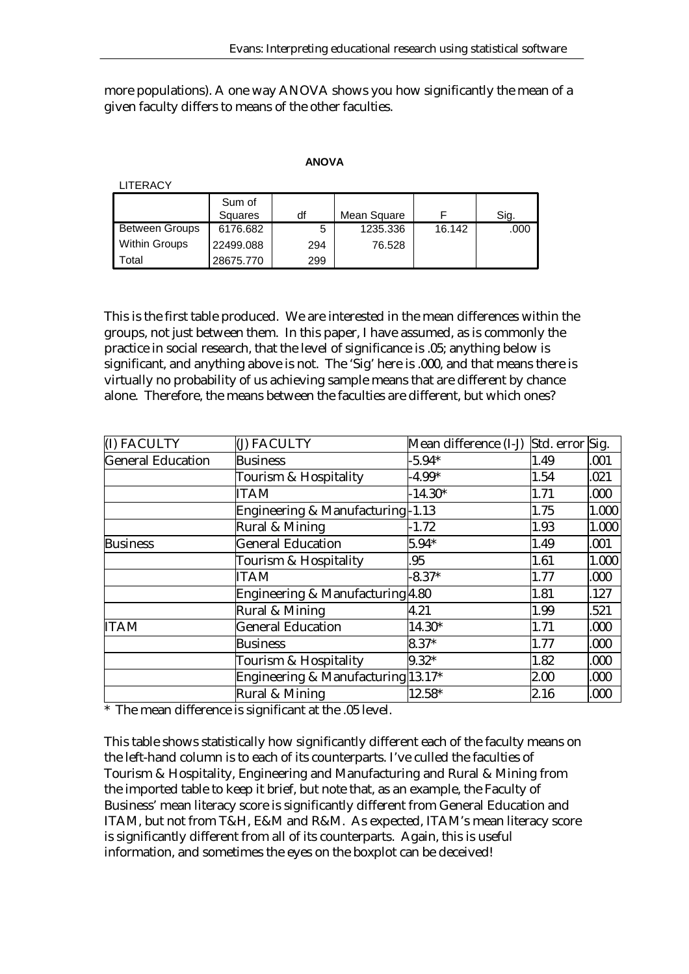more populations). A one way ANOVA shows you how significantly the mean of a given faculty differs to means of the other faculties.

#### **ANOVA**

LITERACY

| <u>LILLIVAV I</u>     |           |     |             |        |      |
|-----------------------|-----------|-----|-------------|--------|------|
|                       | Sum of    |     |             |        |      |
|                       | Squares   | df  | Mean Square |        | Sig. |
| <b>Between Groups</b> | 6176.682  | 5   | 1235.336    | 16.142 | .000 |
| <b>Within Groups</b>  | 22499.088 | 294 | 76.528      |        |      |
| Total                 | 28675.770 | 299 |             |        |      |

This is the first table produced. We are interested in the mean differences within the groups, not just between them. In this paper, I have assumed, as is commonly the practice in social research, that the level of significance is .05; anything below is significant, and anything above is not. The 'Sig' here is .000, and that means there is virtually no probability of us achieving sample means that are different by chance alone. Therefore, the means between the faculties are different, but which ones?

| (I) FACULTY              | (J) FACULTY                        | Mean difference (I-J) | Std. error Sig. |       |
|--------------------------|------------------------------------|-----------------------|-----------------|-------|
| <b>General Education</b> | <b>Business</b>                    | $-5.94*$              | 1.49            | .001  |
|                          | Tourism & Hospitality              | $-4.99*$              | 1.54            | .021  |
|                          | <b>ITAM</b>                        | $-14.30*$             | 1.71            | .000  |
|                          | Engineering & Manufacturing-1.13   |                       | 1.75            | 1.000 |
|                          | Rural & Mining                     | $-1.72$               | 1.93            | 1.000 |
| <b>Business</b>          | <b>General Education</b>           | $5.94*$               | 1.49            | .001  |
|                          | Tourism & Hospitality              | .95                   | 1.61            | 1.000 |
|                          | <b>ITAM</b>                        | $-8.37*$              | 1.77            | 000   |
|                          | Engineering & Manufacturing 4.80   |                       | 1.81            | .127  |
|                          | Rural & Mining                     | 4.21                  | 1.99            | .521  |
| <b>ITAM</b>              | <b>General Education</b>           | 14.30*                | 1.71            | .000  |
|                          | <b>Business</b>                    | $8.37*$               | 1.77            | .000  |
|                          | Tourism & Hospitality              | $9.32*$               | 1.82            | .000  |
|                          | Engineering & Manufacturing 13.17* |                       | 2.00            | .000  |
|                          | Rural & Mining                     | 12.58*                | 2.16            | .000  |

\* The mean difference is significant at the .05 level.

This table shows statistically how significantly different each of the faculty means on the left-hand column is to each of its counterparts. I've culled the faculties of Tourism & Hospitality, Engineering and Manufacturing and Rural & Mining from the imported table to keep it brief, but note that, as an example, the Faculty of Business' mean literacy score is significantly different from General Education and ITAM, but not from T&H, E&M and R&M. As expected, ITAM's mean literacy score is significantly different from all of its counterparts. Again, this is useful information, and sometimes the eyes on the boxplot can be deceived!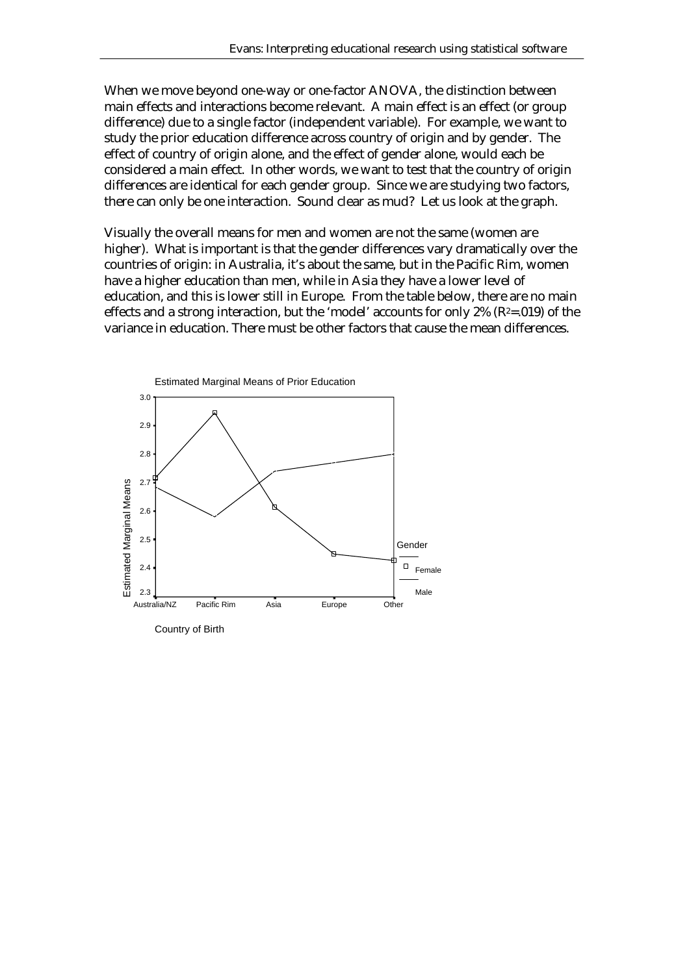When we move beyond one-way or one-factor ANOVA, the distinction between main effects and interactions become relevant. A main effect is an effect (or group difference) due to a single factor (independent variable). For example, we want to study the prior education difference across country of origin and by gender. The effect of country of origin alone, and the effect of gender alone, would each be considered a main effect. In other words, we want to test that the country of origin differences are identical for each gender group. Since we are studying two factors, there can only be one interaction. Sound clear as mud? Let us look at the graph.

Visually the overall means for men and women are not the same (women are higher). What is important is that the gender differences vary dramatically over the countries of origin: in Australia, it's about the same, but in the Pacific Rim, women have a higher education than men, while in Asia they have a lower level of education, and this is lower still in Europe. From the table below, there are no main effects and a strong interaction, but the 'model' accounts for only  $2\%$  ( $R^2 = .019$ ) of the variance in education. There must be other factors that cause the mean differences.

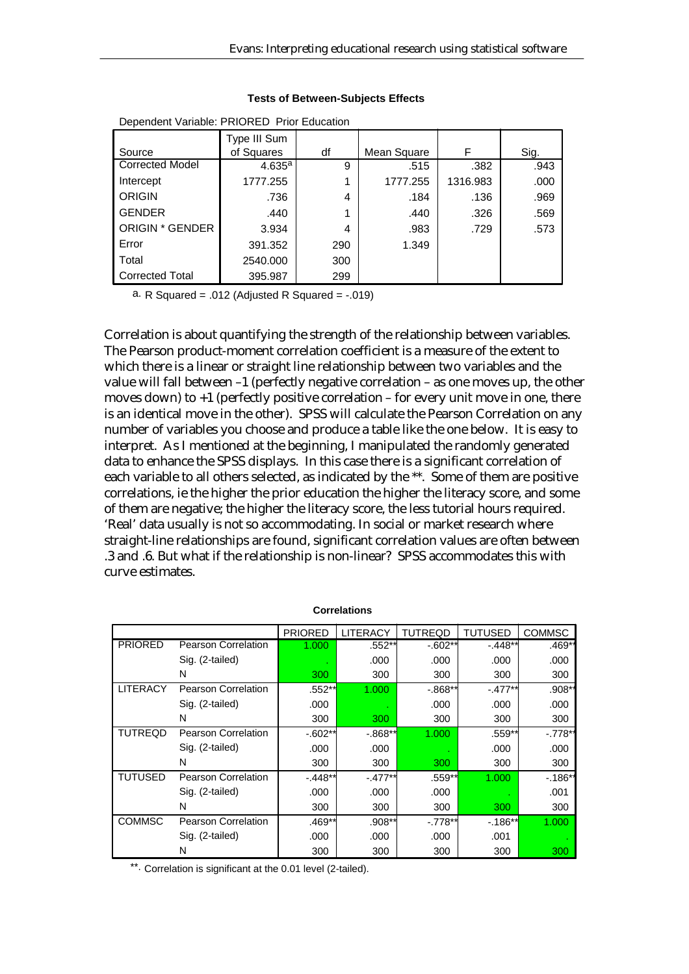| <b>POPONSON, VANAPIO, I INCITED</b> I HOI EGGOGNON |                            |     |             |          |      |  |  |  |  |
|----------------------------------------------------|----------------------------|-----|-------------|----------|------|--|--|--|--|
| Source                                             | Type III Sum<br>of Squares | df  | Mean Square | F        | Sig. |  |  |  |  |
| <b>Corrected Model</b>                             | 4.635 <sup>a</sup>         | 9   | .515        | .382     | .943 |  |  |  |  |
| Intercept                                          | 1777.255                   |     | 1777.255    | 1316.983 | .000 |  |  |  |  |
| <b>ORIGIN</b>                                      | .736                       | 4   | .184        | .136     | .969 |  |  |  |  |
| <b>GENDER</b>                                      | .440                       |     | .440        | .326     | .569 |  |  |  |  |
| <b>ORIGIN * GENDER</b>                             | 3.934                      | 4   | .983        | .729     | .573 |  |  |  |  |
| Error                                              | 391.352                    | 290 | 1.349       |          |      |  |  |  |  |
| Total                                              | 2540.000                   | 300 |             |          |      |  |  |  |  |
| <b>Corrected Total</b>                             | 395.987                    | 299 |             |          |      |  |  |  |  |

#### **Tests of Between-Subjects Effects**

Dependent Variable: PRIORED Prior Education

a. R Squared =  $.012$  (Adjusted R Squared =  $-.019$ )

Correlation is about quantifying the strength of the relationship between variables. The Pearson product-moment correlation coefficient is a measure of the extent to which there is a linear or straight line relationship between two variables and the value will fall between –1 (perfectly negative correlation – as one moves up, the other moves down) to +1 (perfectly positive correlation – for every unit move in one, there is an identical move in the other). SPSS will calculate the Pearson Correlation on any number of variables you choose and produce a table like the one below. It is easy to interpret. As I mentioned at the beginning, I manipulated the randomly generated data to enhance the SPSS displays. In this case there is a significant correlation of each variable to all others selected, as indicated by the \*\*. Some of them are positive correlations, ie the higher the prior education the higher the literacy score, and some of them are negative; the higher the literacy score, the less tutorial hours required. 'Real' data usually is not so accommodating. In social or market research where straight-line relationships are found, significant correlation values are often between .3 and .6. But what if the relationship is non-linear? SPSS accommodates this with curve estimates.

|                 |                            | <b>PRIORED</b> | LITERACY | <b>TUTREQD</b> | <b>TUTUSED</b> | <b>COMMSC</b> |
|-----------------|----------------------------|----------------|----------|----------------|----------------|---------------|
| <b>PRIORED</b>  | <b>Pearson Correlation</b> | 1.000          | .552**   | $-0.602**$     | $-448**$       | .469*1        |
|                 | Sig. (2-tailed)            |                | .000     | .000           | .000           | .000          |
|                 | N                          | 300            | 300      | 300            | 300            | 300           |
| <b>LITERACY</b> | <b>Pearson Correlation</b> | .552**         | 1.000    | -.868**        | $-477**$       | .908*1        |
|                 | Sig. (2-tailed)            | .000           |          | .000           | .000           | .000          |
|                 | N                          | 300            | 300      | 300            | 300            | 300           |
| <b>TUTREQD</b>  | <b>Pearson Correlation</b> | $-0.602**$     | -.868**  | 1.000          | .559**         | -.778**       |
|                 | Sig. (2-tailed)            | .000           | .000     |                | .000           | .000          |
|                 | N                          | 300            | 300      | 300            | 300            | 300           |
| <b>TUTUSED</b>  | <b>Pearson Correlation</b> | $-.448**$      | -.477**  | .559**         | 1.000          | $-186$ **     |
|                 | Sig. (2-tailed)            | .000           | .000     | .000           |                | .001          |
|                 | N                          | 300            | 300      | 300            | 300            | 300           |
| <b>COMMSC</b>   | <b>Pearson Correlation</b> | $.469**$       | $.908**$ | $-.778**$      | $-186**$       | 1.000         |
|                 | Sig. (2-tailed)            | .000           | .000     | .000           | .001           |               |
|                 | N                          | 300            | 300      | 300            | 300            | 300           |

**Correlations**

\*\*. Correlation is significant at the 0.01 level (2-tailed).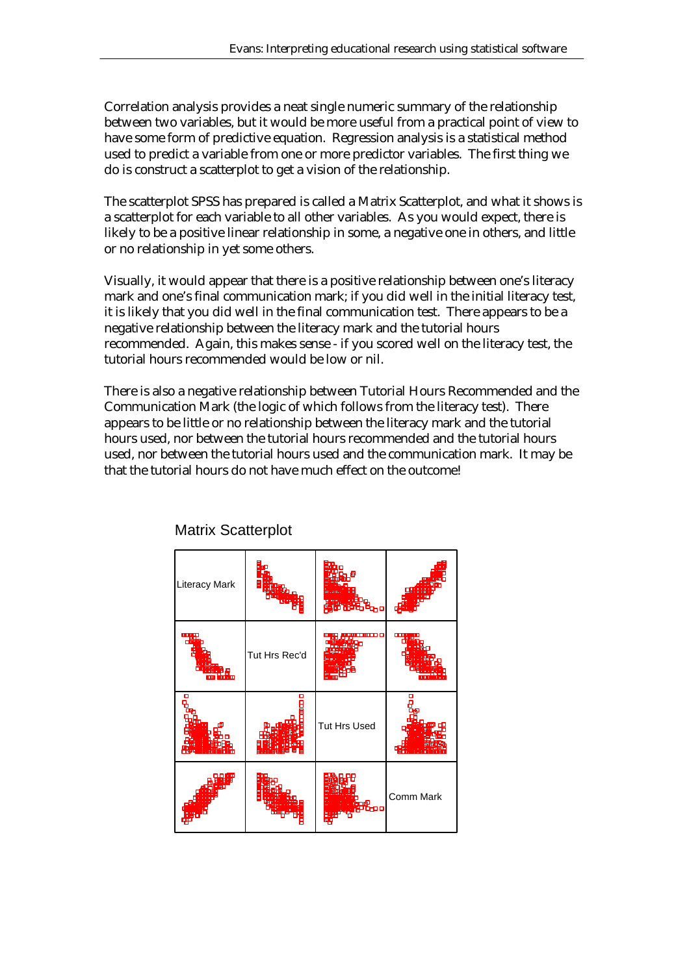Correlation analysis provides a neat single numeric summary of the relationship between two variables, but it would be more useful from a practical point of view to have some form of predictive equation. Regression analysis is a statistical method used to predict a variable from one or more predictor variables. The first thing we do is construct a scatterplot to get a vision of the relationship.

The scatterplot SPSS has prepared is called a Matrix Scatterplot, and what it shows is a scatterplot for each variable to all other variables. As you would expect, there is likely to be a positive linear relationship in some, a negative one in others, and little or no relationship in yet some others.

Visually, it would appear that there is a positive relationship between one's literacy mark and one's final communication mark; if you did well in the initial literacy test, it is likely that you did well in the final communication test. There appears to be a negative relationship between the literacy mark and the tutorial hours recommended. Again, this makes sense - if you scored well on the literacy test, the tutorial hours recommended would be low or nil.

There is also a negative relationship between Tutorial Hours Recommended and the Communication Mark (the logic of which follows from the literacy test). There appears to be little or no relationship between the literacy mark and the tutorial hours used, nor between the tutorial hours recommended and the tutorial hours used, nor between the tutorial hours used and the communication mark. It may be that the tutorial hours do not have much effect on the outcome!

| <b>Literacy Mark</b> |               | ьо                  |           |
|----------------------|---------------|---------------------|-----------|
|                      | Tut Hrs Rec'd | <b>THUT 8</b>       |           |
| ۰                    |               | <b>Tut Hrs Used</b> |           |
|                      |               | .<br>Pool           | Comm Mark |

### Matrix Scatterplot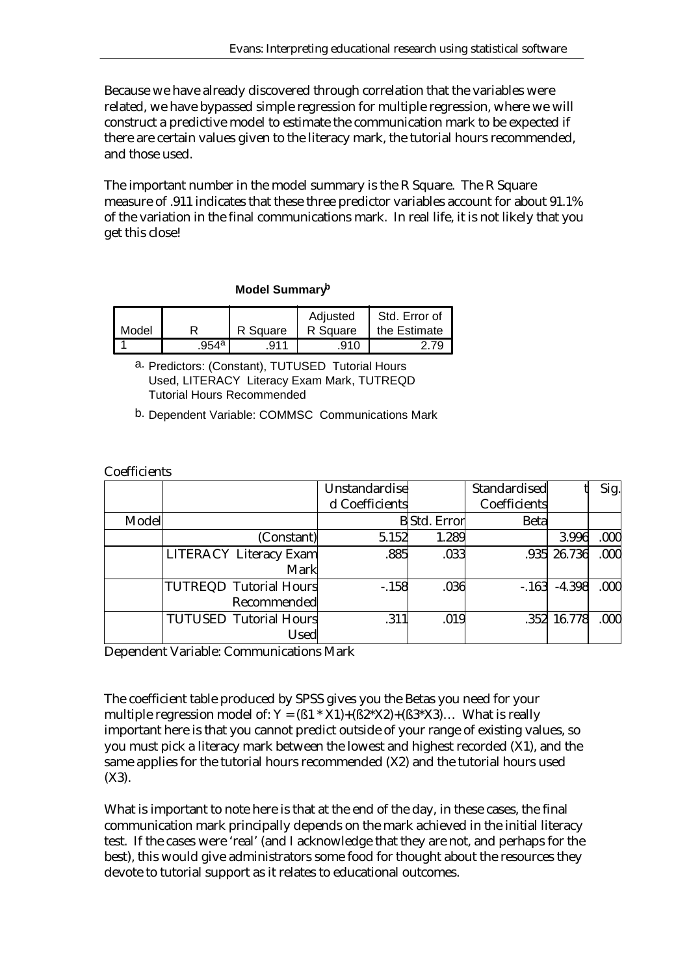Because we have already discovered through correlation that the variables were related, we have bypassed simple regression for multiple regression, where we will construct a predictive model to estimate the communication mark to be expected if there are certain values given to the literacy mark, the tutorial hours recommended, and those used.

The important number in the model summary is the R Square. The R Square measure of .911 indicates that these three predictor variables account for about 91.1% of the variation in the final communications mark. In real life, it is not likely that you get this close!

#### **Model Summaryb**

| Model |                     | R Square | Adjusted<br>R Square | Std. Error of<br>the Estimate |
|-------|---------------------|----------|----------------------|-------------------------------|
|       | .954 <sup>a '</sup> | .911     | 910                  |                               |

a. Predictors: (Constant), TUTUSED Tutorial Hours Used, LITERACY Literacy Exam Mark, TUTREQD Tutorial Hours Recommended

b. Dependent Variable: COMMSC Communications Mark

| Coefficients |
|--------------|
|--------------|

|       |                               | Unstandardise  |                     | Standardised |             | Sig. |
|-------|-------------------------------|----------------|---------------------|--------------|-------------|------|
|       |                               | d Coefficients |                     | Coefficients |             |      |
| Model |                               |                | <b>B</b> Std. Error | <b>Beta</b>  |             |      |
|       | (Constant)                    | 5.152          | 1.289               |              | 3.996       | .000 |
|       | <b>LITERACY Literacy Exam</b> | .885           | .033                |              | .935 26.736 | .000 |
|       | Mark                          |                |                     |              |             |      |
|       | <b>TUTREQD Tutorial Hours</b> | $-.158$        | .036                | $-.163$      | $-4.398$    | .000 |
|       | Recommended                   |                |                     |              |             |      |
|       | <b>TUTUSED Tutorial Hours</b> | .311           | .019                |              | .352 16.778 | .000 |
|       | Used                          |                |                     |              |             |      |

Dependent Variable: Communications Mark

The coefficient table produced by SPSS gives you the Betas you need for your multiple regression model of:  $Y = (\beta 1 * X1) + (\beta 2 * X2) + (\beta 3 * X3) \dots$  What is really important here is that you cannot predict outside of your range of existing values, so you must pick a literacy mark between the lowest and highest recorded (X1), and the same applies for the tutorial hours recommended (X2) and the tutorial hours used (X3).

What is important to note here is that at the end of the day, in these cases, the final communication mark principally depends on the mark achieved in the initial literacy test. If the cases were 'real' (and I acknowledge that they are not, and perhaps for the best), this would give administrators some food for thought about the resources they devote to tutorial support as it relates to educational outcomes.